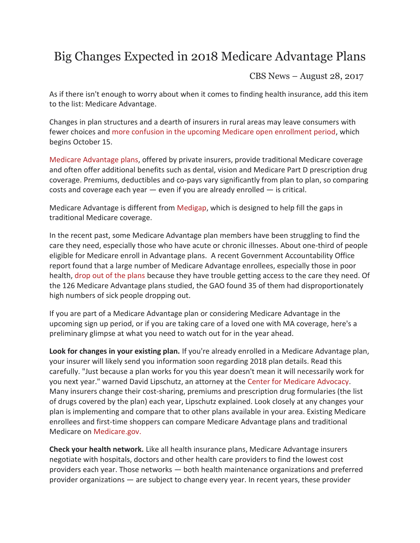## Big Changes Expected in 2018 Medicare Advantage Plans

CBS News – August 28, 2017

As if there isn't enough to worry about when it comes to finding health insurance, add this item to the list: Medicare Advantage.

Changes in plan structures and a dearth of insurers in rural areas may leave consumers with fewer choices and [more confusion in the upcoming Medicare open enrollment period,](https://www.cbsnews.com/news/turning-65-beware-of-medicare-traps-for-the-unwary/) which begins October 15.

[Medicare Advantage plans,](https://www.cbsnews.com/news/how-to-choose-a-medicare-advantage-health-care-plan/) offered by private insurers, provide traditional Medicare coverage and often offer additional benefits such as dental, vision and Medicare Part D prescription drug coverage. Premiums, deductibles and co-pays vary significantly from plan to plan, so comparing costs and coverage each year  $-$  even if you are already enrolled  $-$  is critical.

Medicare Advantage is different from [Medigap,](https://www.medicare.gov/supplement-other-insurance/medigap/whats-medigap.html) which is designed to help fill the gaps in traditional Medicare coverage.

In the recent past, some Medicare Advantage plan members have been struggling to find the care they need, especially those who have acute or chronic illnesses. About one-third of people eligible for Medicare enroll in Advantage plans. A recent Government Accountability Office report found that a large number of Medicare Advantage enrollees, especially those in poor health, [drop out of the plans](http://www.npr.org/sections/health-shots/2017/07/05/535381473/as-seniors-get-sicker-theyre-more-likely-to-drop-medicare-advantage-plans) because they have trouble getting access to the care they need. Of the 126 Medicare Advantage plans studied, the GAO found 35 of them had disproportionately high numbers of sick people dropping out.

If you are part of a Medicare Advantage plan or considering Medicare Advantage in the upcoming sign up period, or if you are taking care of a loved one with MA coverage, here's a preliminary glimpse at what you need to watch out for in the year ahead.

**Look for changes in your existing plan.** If you're already enrolled in a Medicare Advantage plan, your insurer will likely send you information soon regarding 2018 plan details. Read this carefully. "Just because a plan works for you this year doesn't mean it will necessarily work for you next year." warned David Lipschutz, an attorney at the [Center for Medicare Advocacy.](http://www.medicareadvocacy.org/david-lipschutz-jd-attorney/) Many insurers change their cost-sharing, premiums and prescription drug formularies (the list of drugs covered by the plan) each year, Lipschutz explained. Look closely at any changes your plan is implementing and compare that to other plans available in your area. Existing Medicare enrollees and first-time shoppers can compare Medicare Advantage plans and traditional Medicare on [Medicare.gov.](http://medicare.gov./) 

**Check your health network.** Like all health insurance plans, Medicare Advantage insurers negotiate with hospitals, doctors and other health care providers to find the lowest cost providers each year. Those networks — both health maintenance organizations and preferred provider organizations — are subject to change every year. In recent years, these provider